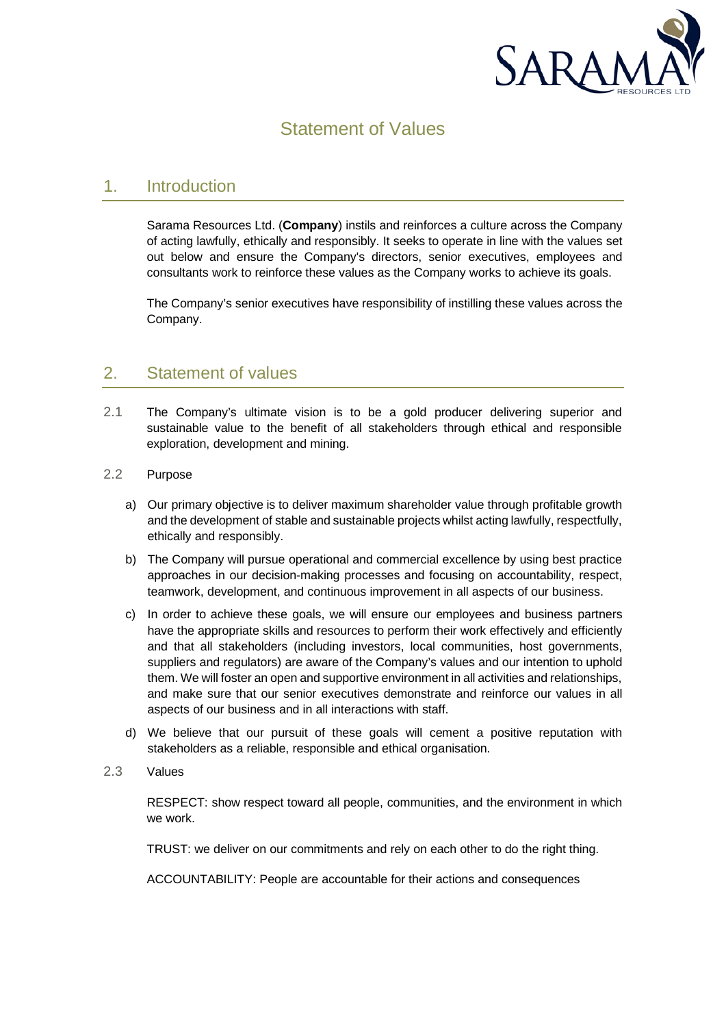

## Statement of Values

## 1. Introduction

Sarama Resources Ltd. (**Company**) instils and reinforces a culture across the Company of acting lawfully, ethically and responsibly. It seeks to operate in line with the values set out below and ensure the Company's directors, senior executives, employees and consultants work to reinforce these values as the Company works to achieve its goals.

The Company's senior executives have responsibility of instilling these values across the Company.

## 2. Statement of values

- 2.1 The Company's ultimate vision is to be a gold producer delivering superior and sustainable value to the benefit of all stakeholders through ethical and responsible exploration, development and mining.
- 2.2 Purpose
	- a) Our primary objective is to deliver maximum shareholder value through profitable growth and the development of stable and sustainable projects whilst acting lawfully, respectfully, ethically and responsibly.
	- b) The Company will pursue operational and commercial excellence by using best practice approaches in our decision-making processes and focusing on accountability, respect, teamwork, development, and continuous improvement in all aspects of our business.
	- c) In order to achieve these goals, we will ensure our employees and business partners have the appropriate skills and resources to perform their work effectively and efficiently and that all stakeholders (including investors, local communities, host governments, suppliers and regulators) are aware of the Company's values and our intention to uphold them. We will foster an open and supportive environment in all activities and relationships, and make sure that our senior executives demonstrate and reinforce our values in all aspects of our business and in all interactions with staff.
	- d) We believe that our pursuit of these goals will cement a positive reputation with stakeholders as a reliable, responsible and ethical organisation.
- 2.3 Values

RESPECT: show respect toward all people, communities, and the environment in which we work.

TRUST: we deliver on our commitments and rely on each other to do the right thing.

ACCOUNTABILITY: People are accountable for their actions and consequences